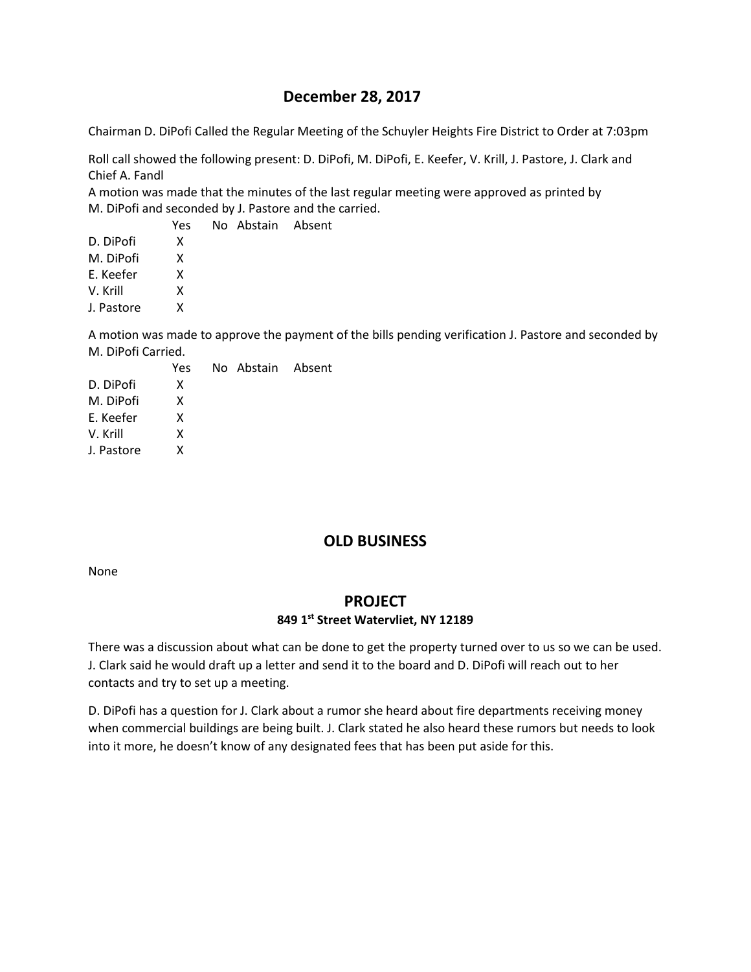# **December 28, 2017**

Chairman D. DiPofi Called the Regular Meeting of the Schuyler Heights Fire District to Order at 7:03pm

Roll call showed the following present: D. DiPofi, M. DiPofi, E. Keefer, V. Krill, J. Pastore, J. Clark and Chief A. Fandl

A motion was made that the minutes of the last regular meeting were approved as printed by M. DiPofi and seconded by J. Pastore and the carried.

No Abstain Absent

|            | Yes |
|------------|-----|
| D. DiPofi  | x   |
| M. DiPofi  | x   |
| F. Keefer  | x   |
| V. Krill   | x   |
| J. Pastore | x   |
|            |     |

A motion was made to approve the payment of the bills pending verification J. Pastore and seconded by M. DiPofi Carried.

Absent

|            | Yes | No Abstain |
|------------|-----|------------|
| D. DiPofi  | x   |            |
| M. DiPofi  | x   |            |
| E. Keefer  | x   |            |
| V. Krill   | x   |            |
| J. Pastore | x   |            |
|            |     |            |

# **OLD BUSINESS**

None

## **PROJECT**

#### **849 1st Street Watervliet, NY 12189**

There was a discussion about what can be done to get the property turned over to us so we can be used. J. Clark said he would draft up a letter and send it to the board and D. DiPofi will reach out to her contacts and try to set up a meeting.

D. DiPofi has a question for J. Clark about a rumor she heard about fire departments receiving money when commercial buildings are being built. J. Clark stated he also heard these rumors but needs to look into it more, he doesn't know of any designated fees that has been put aside for this.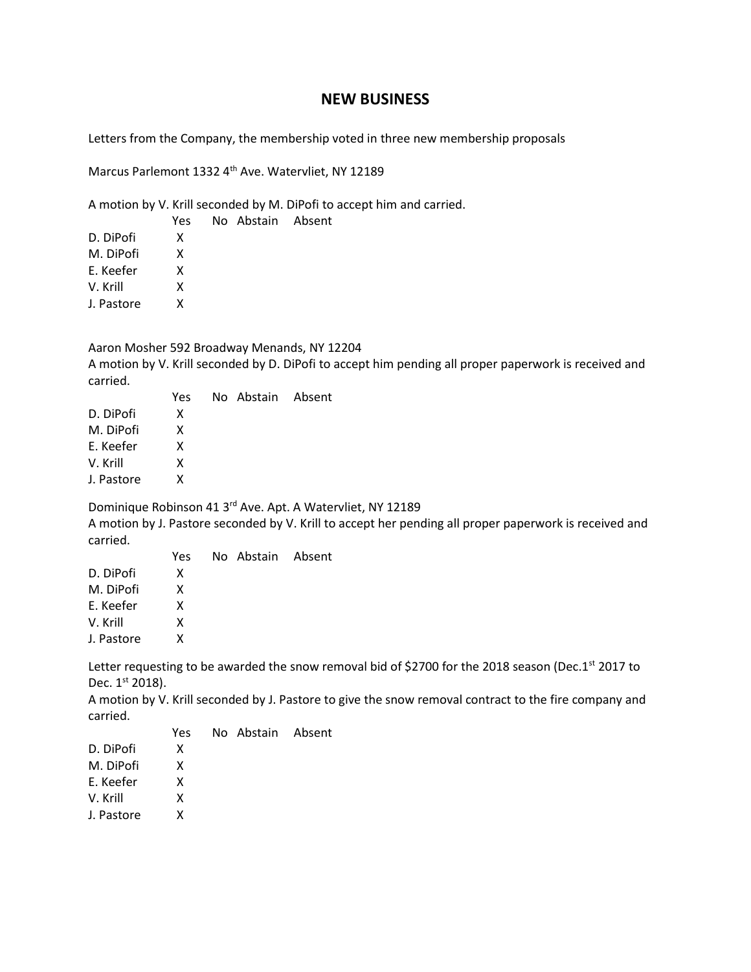## **NEW BUSINESS**

Letters from the Company, the membership voted in three new membership proposals

Marcus Parlemont 1332 4<sup>th</sup> Ave. Watervliet, NY 12189

A motion by V. Krill seconded by M. DiPofi to accept him and carried.

|            | Yes | No Abstain Absent |  |
|------------|-----|-------------------|--|
| D. DiPofi  | x   |                   |  |
| M. DiPofi  | x   |                   |  |
| E. Keefer  | x   |                   |  |
| V. Krill   | x   |                   |  |
| J. Pastore | x   |                   |  |
|            |     |                   |  |

Aaron Mosher 592 Broadway Menands, NY 12204

A motion by V. Krill seconded by D. DiPofi to accept him pending all proper paperwork is received and carried.

|            | Yes | No Abstain Absent |  |
|------------|-----|-------------------|--|
| D. DiPofi  | x   |                   |  |
| M. DiPofi  | x   |                   |  |
| E. Keefer  | x   |                   |  |
| V. Krill   | x   |                   |  |
| J. Pastore | x   |                   |  |
|            |     |                   |  |

Dominique Robinson 41 3rd Ave. Apt. A Watervliet, NY 12189

A motion by J. Pastore seconded by V. Krill to accept her pending all proper paperwork is received and carried.

|            | Yes | No Abstain Absent |  |
|------------|-----|-------------------|--|
| D. DiPofi  | x   |                   |  |
| M. DiPofi  | x   |                   |  |
| E. Keefer  | x   |                   |  |
| V. Krill   | x   |                   |  |
| J. Pastore | x   |                   |  |

Letter requesting to be awarded the snow removal bid of \$2700 for the 2018 season (Dec.1<sup>st</sup> 2017 to Dec. 1st 2018).

A motion by V. Krill seconded by J. Pastore to give the snow removal contract to the fire company and carried.

|            | Yes | No Abstain Absent |  |
|------------|-----|-------------------|--|
| D. DiPofi  | x   |                   |  |
| M. DiPofi  | x   |                   |  |
| E. Keefer  | x   |                   |  |
| V. Krill   | x   |                   |  |
| J. Pastore | x   |                   |  |
|            |     |                   |  |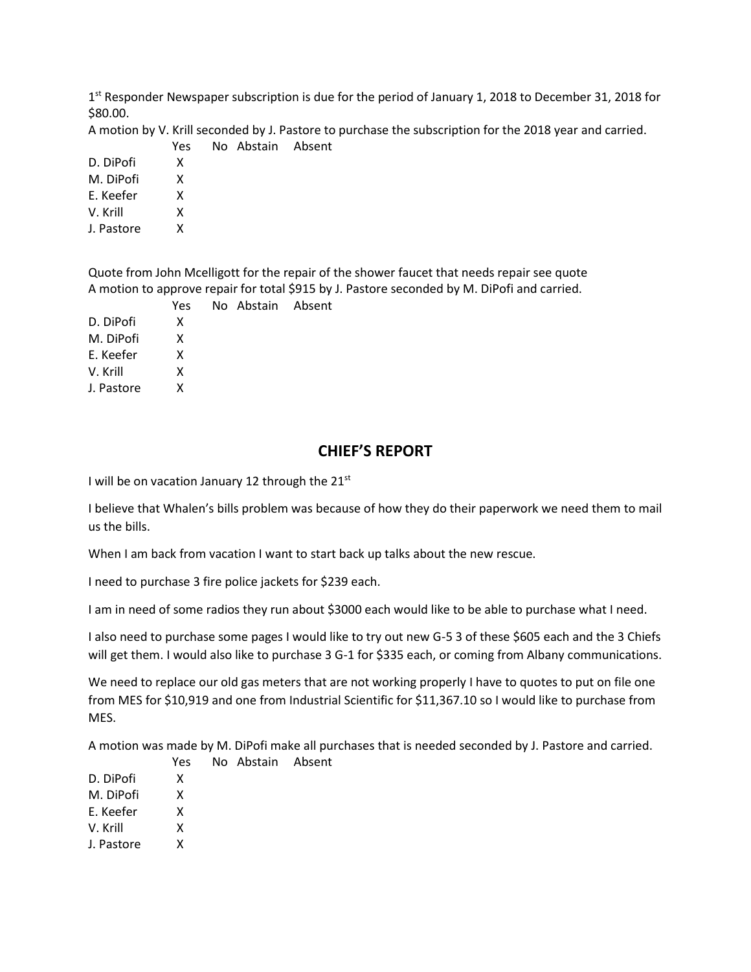1<sup>st</sup> Responder Newspaper subscription is due for the period of January 1, 2018 to December 31, 2018 for \$80.00.

A motion by V. Krill seconded by J. Pastore to purchase the subscription for the 2018 year and carried.

|           |  | Yes No Abstain Absent |  |
|-----------|--|-----------------------|--|
| D. DiPofi |  |                       |  |

M. DiPofi X

E. Keefer X

V. Krill X

J. Pastore X

Quote from John Mcelligott for the repair of the shower faucet that needs repair see quote A motion to approve repair for total \$915 by J. Pastore seconded by M. DiPofi and carried.

|            | Yes | No Abstain Absent |  |
|------------|-----|-------------------|--|
| D. DiPofi  | x   |                   |  |
| M. DiPofi  | x   |                   |  |
| E. Keefer  | x   |                   |  |
| V. Krill   | x   |                   |  |
| J. Pastore | x   |                   |  |
|            |     |                   |  |

# **CHIEF'S REPORT**

I will be on vacation January 12 through the  $21^{st}$ 

I believe that Whalen's bills problem was because of how they do their paperwork we need them to mail us the bills.

When I am back from vacation I want to start back up talks about the new rescue.

I need to purchase 3 fire police jackets for \$239 each.

I am in need of some radios they run about \$3000 each would like to be able to purchase what I need.

I also need to purchase some pages I would like to try out new G-5 3 of these \$605 each and the 3 Chiefs will get them. I would also like to purchase 3 G-1 for \$335 each, or coming from Albany communications.

We need to replace our old gas meters that are not working properly I have to quotes to put on file one from MES for \$10,919 and one from Industrial Scientific for \$11,367.10 so I would like to purchase from MES.

A motion was made by M. DiPofi make all purchases that is needed seconded by J. Pastore and carried.

|            | Yes | No Abstain Absent |  |
|------------|-----|-------------------|--|
| D. DiPofi  | x   |                   |  |
| M. DiPofi  | x   |                   |  |
| E. Keefer  | x   |                   |  |
| V. Krill   | x   |                   |  |
| J. Pastore | x   |                   |  |
|            |     |                   |  |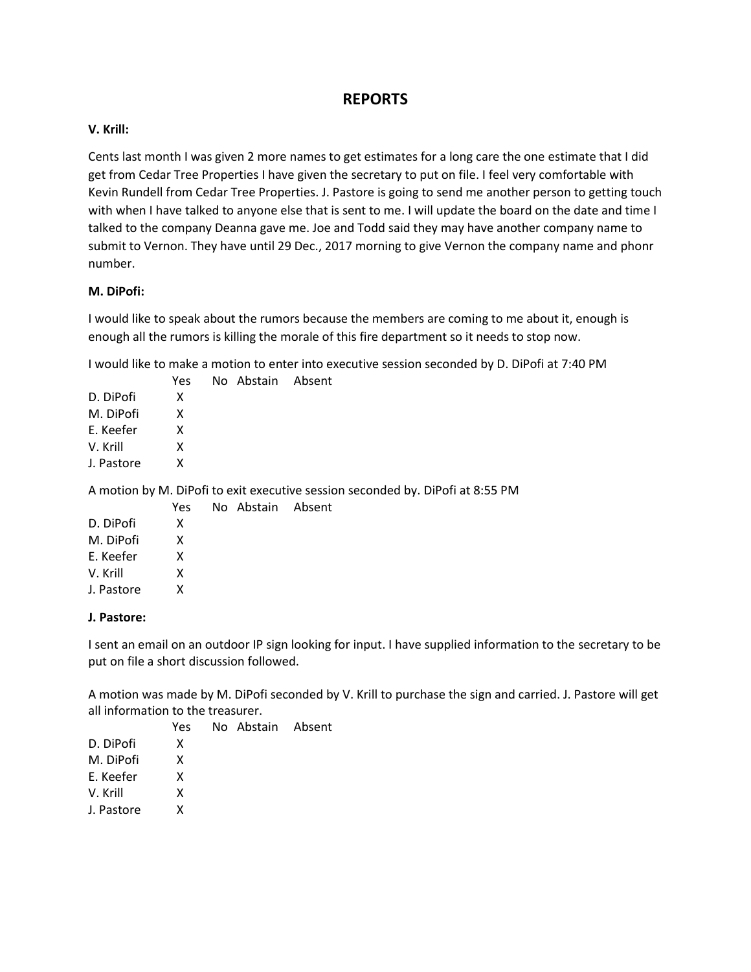## **REPORTS**

## **V. Krill:**

Cents last month I was given 2 more names to get estimates for a long care the one estimate that I did get from Cedar Tree Properties I have given the secretary to put on file. I feel very comfortable with Kevin Rundell from Cedar Tree Properties. J. Pastore is going to send me another person to getting touch with when I have talked to anyone else that is sent to me. I will update the board on the date and time I talked to the company Deanna gave me. Joe and Todd said they may have another company name to submit to Vernon. They have until 29 Dec., 2017 morning to give Vernon the company name and phonr number.

## **M. DiPofi:**

I would like to speak about the rumors because the members are coming to me about it, enough is enough all the rumors is killing the morale of this fire department so it needs to stop now.

I would like to make a motion to enter into executive session seconded by D. DiPofi at 7:40 PM

|            | Yes | No Abstain Absent |  |
|------------|-----|-------------------|--|
| D. DiPofi  | x   |                   |  |
| M. DiPofi  | x   |                   |  |
| E. Keefer  | x   |                   |  |
| V. Krill   | x   |                   |  |
| J. Pastore | x   |                   |  |
|            |     |                   |  |

A motion by M. DiPofi to exit executive session seconded by. DiPofi at 8:55 PM

|            | Yes | No Abstain Absent |  |
|------------|-----|-------------------|--|
| D. DiPofi  | x   |                   |  |
| M. DiPofi  | x   |                   |  |
| F. Keefer  | x   |                   |  |
| V. Krill   | x   |                   |  |
| J. Pastore | x   |                   |  |
|            |     |                   |  |

#### **J. Pastore:**

I sent an email on an outdoor IP sign looking for input. I have supplied information to the secretary to be put on file a short discussion followed.

A motion was made by M. DiPofi seconded by V. Krill to purchase the sign and carried. J. Pastore will get all information to the treasurer.

|            | Yes | No Abstain Absent |  |
|------------|-----|-------------------|--|
| D. DiPofi  | x   |                   |  |
| M. DiPofi  | x   |                   |  |
| E. Keefer  | x   |                   |  |
| V. Krill   | x   |                   |  |
| J. Pastore | x   |                   |  |
|            |     |                   |  |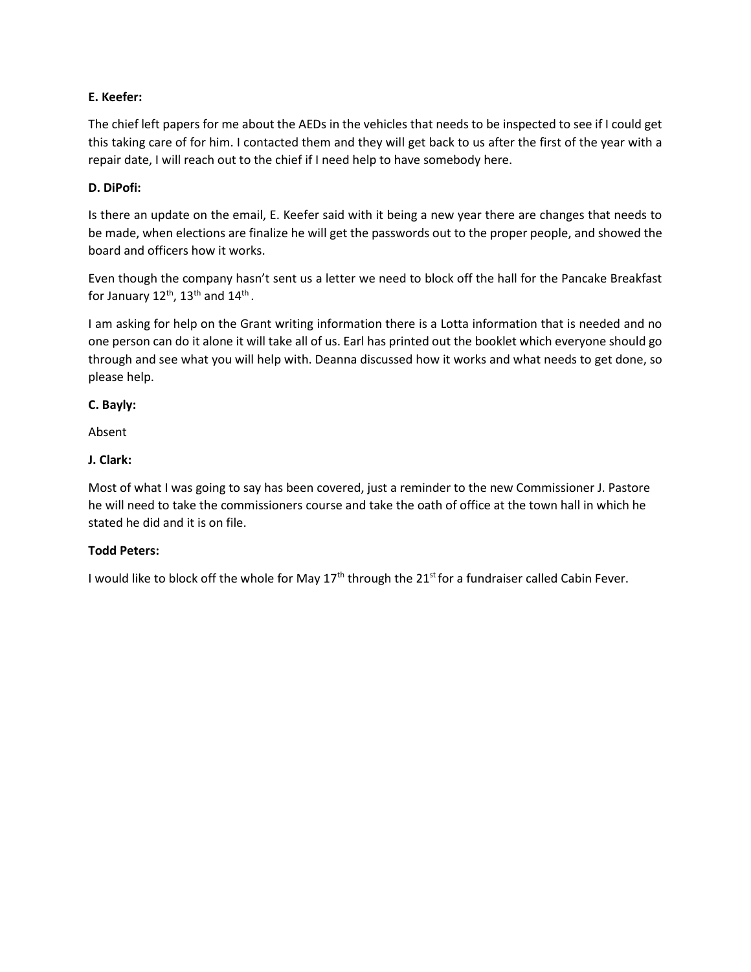## **E. Keefer:**

The chief left papers for me about the AEDs in the vehicles that needs to be inspected to see if I could get this taking care of for him. I contacted them and they will get back to us after the first of the year with a repair date, I will reach out to the chief if I need help to have somebody here.

### **D. DiPofi:**

Is there an update on the email, E. Keefer said with it being a new year there are changes that needs to be made, when elections are finalize he will get the passwords out to the proper people, and showed the board and officers how it works.

Even though the company hasn't sent us a letter we need to block off the hall for the Pancake Breakfast for January 12<sup>th</sup>, 13<sup>th</sup> and 14<sup>th</sup> .

I am asking for help on the Grant writing information there is a Lotta information that is needed and no one person can do it alone it will take all of us. Earl has printed out the booklet which everyone should go through and see what you will help with. Deanna discussed how it works and what needs to get done, so please help.

## **C. Bayly:**

Absent

## **J. Clark:**

Most of what I was going to say has been covered, just a reminder to the new Commissioner J. Pastore he will need to take the commissioners course and take the oath of office at the town hall in which he stated he did and it is on file.

#### **Todd Peters:**

I would like to block off the whole for May 17<sup>th</sup> through the 21<sup>st</sup> for a fundraiser called Cabin Fever.